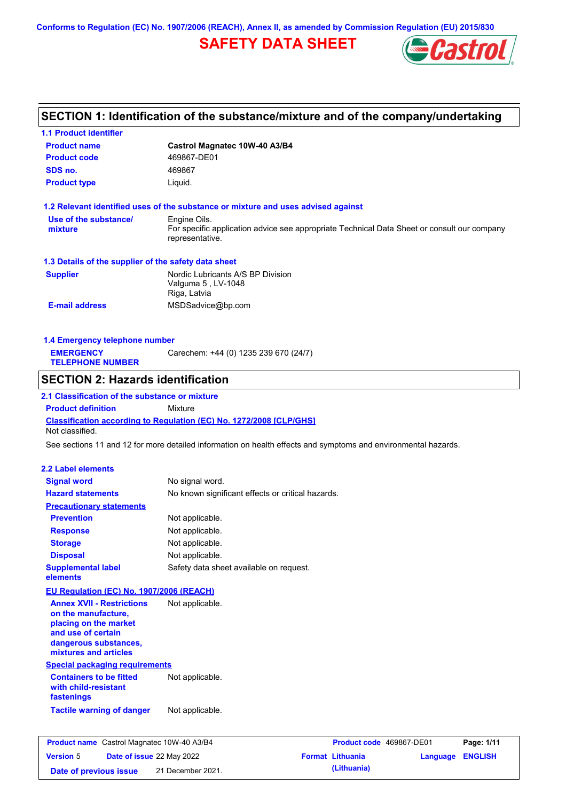**Conforms to Regulation (EC) No. 1907/2006 (REACH), Annex II, as amended by Commission Regulation (EU) 2015/830**

# **SAFETY DATA SHEET**



# **SECTION 1: Identification of the substance/mixture and of the company/undertaking**

| <b>1.1 Product identifier</b>                                                    |                                                                                                                |
|----------------------------------------------------------------------------------|----------------------------------------------------------------------------------------------------------------|
| <b>Product name</b>                                                              | Castrol Magnatec 10W-40 A3/B4                                                                                  |
| <b>Product code</b>                                                              | 469867-DE01                                                                                                    |
| SDS no.                                                                          | 469867                                                                                                         |
| <b>Product type</b>                                                              | Liquid.                                                                                                        |
|                                                                                  | 1.2 Relevant identified uses of the substance or mixture and uses advised against                              |
| Use of the substance/                                                            | Engine Oils.                                                                                                   |
| mixture                                                                          | For specific application advice see appropriate Technical Data Sheet or consult our company<br>representative. |
| 1.3 Details of the supplier of the safety data sheet                             |                                                                                                                |
| <b>Supplier</b>                                                                  | Nordic Lubricants A/S BP Division<br>Valguma 5, LV-1048<br>Riga, Latvia                                        |
| <b>E-mail address</b>                                                            | MSDSadvice@bp.com                                                                                              |
| 1.4 Emergency telephone number                                                   |                                                                                                                |
| <b>EMERGENCY</b>                                                                 | Carechem: +44 (0) 1235 239 670 (24/7)                                                                          |
| <b>TELEPHONE NUMBER</b>                                                          |                                                                                                                |
| <b>SECTION 2: Hazards identification</b>                                         |                                                                                                                |
| 2.1 Classification of the substance or mixture                                   |                                                                                                                |
| <b>Product definition</b>                                                        | Mixture                                                                                                        |
| Not classified.                                                                  | Classification according to Regulation (EC) No. 1272/2008 [CLP/GHS]                                            |
|                                                                                  | See sections 11 and 12 for more detailed information on health effects and symptoms and environmental hazards. |
|                                                                                  |                                                                                                                |
| <b>2.2 Label elements</b>                                                        |                                                                                                                |
| <b>Signal word</b>                                                               | No signal word.                                                                                                |
| <b>Hazard statements</b>                                                         | No known significant effects or critical hazards.                                                              |
| <b>Precautionary statements</b>                                                  |                                                                                                                |
| <b>Prevention</b>                                                                | Not applicable.                                                                                                |
| <b>Response</b>                                                                  | Not applicable.                                                                                                |
| <b>Storage</b>                                                                   | Not applicable.                                                                                                |
| <b>Disposal</b>                                                                  | Not applicable.                                                                                                |
| <b>Supplemental label</b><br>elements                                            | Safety data sheet available on request.                                                                        |
| EU Regulation (EC) No. 1907/2006 (REACH)                                         |                                                                                                                |
| <b>Annex XVII - Restrictions</b><br>on the manufacture,<br>placing on the market | Not applicable.                                                                                                |
| and use of certain<br>dangerous substances,<br>mixtures and articles             |                                                                                                                |
| <b>Special packaging requirements</b>                                            |                                                                                                                |
| <b>Containers to be fitted</b><br>with child-resistant<br>fastenings             | Not applicable.                                                                                                |
| <b>Tactile warning of danger</b>                                                 | Not applicable.                                                                                                |
| Product name Castrol Magnatec 10W-40 A3/B4                                       | Product code 469867-DE01<br>Page: 1/11                                                                         |
| <b>Version 5</b>                                                                 | Date of issue 22 May 2022<br><b>Format Lithuania</b><br>Language ENGLISH                                       |
|                                                                                  |                                                                                                                |

**Date of previous issue (Lithuania)** 21 December 2021.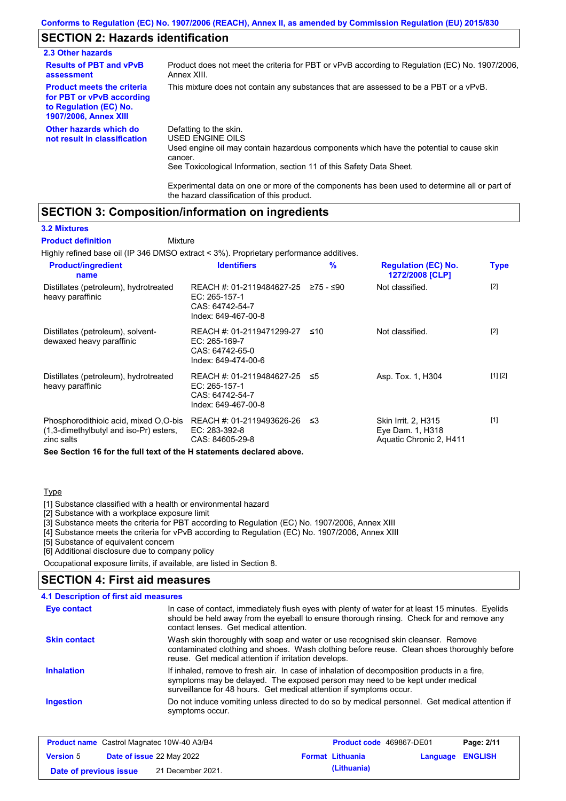## **SECTION 2: Hazards identification**

| 2.3 Other hazards                                                                                                        |                                                                                                                                                                                                                          |
|--------------------------------------------------------------------------------------------------------------------------|--------------------------------------------------------------------------------------------------------------------------------------------------------------------------------------------------------------------------|
| <b>Results of PBT and vPvB</b><br>assessment                                                                             | Product does not meet the criteria for PBT or vPvB according to Regulation (EC) No. 1907/2006,<br>Annex XIII.                                                                                                            |
| <b>Product meets the criteria</b><br>for PBT or vPvB according<br>to Regulation (EC) No.<br><b>1907/2006, Annex XIII</b> | This mixture does not contain any substances that are assessed to be a PBT or a vPvB.                                                                                                                                    |
| Other hazards which do<br>not result in classification                                                                   | Defatting to the skin.<br>USED ENGINE OILS<br>Used engine oil may contain hazardous components which have the potential to cause skin<br>cancer.<br>See Toxicological Information, section 11 of this Safety Data Sheet. |

Experimental data on one or more of the components has been used to determine all or part of the hazard classification of this product.

### **SECTION 3: Composition/information on ingredients**

#### **3.2 Mixtures**

Highly refined base oil (IP 346 DMSO extract < 3%). Proprietary performance additives. **Mixture Product definition**

| <b>Product/ingredient</b><br>name                                                             | <b>Identifiers</b>                                                                                       | $\%$ | <b>Regulation (EC) No.</b><br>1272/2008 [CLP]                      | <b>Type</b> |
|-----------------------------------------------------------------------------------------------|----------------------------------------------------------------------------------------------------------|------|--------------------------------------------------------------------|-------------|
| Distillates (petroleum), hydrotreated<br>heavy paraffinic                                     | REACH #: 01-2119484627-25 $\ge$ 75 - $\le$ 90<br>EC: 265-157-1<br>CAS: 64742-54-7<br>Index: 649-467-00-8 |      | Not classified.                                                    | $[2]$       |
| Distillates (petroleum), solvent-<br>dewaxed heavy paraffinic                                 | REACH #: 01-2119471299-27<br>EC: 265-169-7<br>CAS: 64742-65-0<br>Index: 649-474-00-6                     | ≤10  | Not classified.                                                    | $[2]$       |
| Distillates (petroleum), hydrotreated<br>heavy paraffinic                                     | REACH #: 01-2119484627-25 ≤5<br>$EC: 265-157-1$<br>CAS: 64742-54-7<br>Index: 649-467-00-8                |      | Asp. Tox. 1, H304                                                  | [1] [2]     |
| Phosphorodithioic acid, mixed O,O-bis<br>(1,3-dimethylbutyl and iso-Pr) esters,<br>zinc salts | REACH #: 01-2119493626-26 ≤3<br>EC: 283-392-8<br>CAS: 84605-29-8                                         |      | Skin Irrit. 2, H315<br>Eye Dam. 1, H318<br>Aquatic Chronic 2, H411 | $[1]$       |

**See Section 16 for the full text of the H statements declared above.**

### **Type**

[1] Substance classified with a health or environmental hazard

[2] Substance with a workplace exposure limit

[3] Substance meets the criteria for PBT according to Regulation (EC) No. 1907/2006, Annex XIII

[4] Substance meets the criteria for vPvB according to Regulation (EC) No. 1907/2006, Annex XIII

[5] Substance of equivalent concern

[6] Additional disclosure due to company policy

Occupational exposure limits, if available, are listed in Section 8.

#### Do not induce vomiting unless directed to do so by medical personnel. Get medical attention if symptoms occur. In case of contact, immediately flush eyes with plenty of water for at least 15 minutes. Eyelids should be held away from the eyeball to ensure thorough rinsing. Check for and remove any contact lenses. Get medical attention. **4.1 Description of first aid measures** If inhaled, remove to fresh air. In case of inhalation of decomposition products in a fire, symptoms may be delayed. The exposed person may need to be kept under medical surveillance for 48 hours. Get medical attention if symptoms occur. **Ingestion Inhalation Eye contact SECTION 4: First aid measures Skin contact** Wash skin thoroughly with soap and water or use recognised skin cleanser. Remove contaminated clothing and shoes. Wash clothing before reuse. Clean shoes thoroughly before reuse. Get medical attention if irritation develops.

|                        | <b>Product name</b> Castrol Magnatec 10W-40 A3/B4 | <b>Product code</b> 469867-DE01 |          | Page: 2/11     |
|------------------------|---------------------------------------------------|---------------------------------|----------|----------------|
| <b>Version 5</b>       | <b>Date of issue 22 May 2022</b>                  | <b>Format Lithuania</b>         | Language | <b>ENGLISH</b> |
| Date of previous issue | 21 December 2021.                                 | (Lithuania)                     |          |                |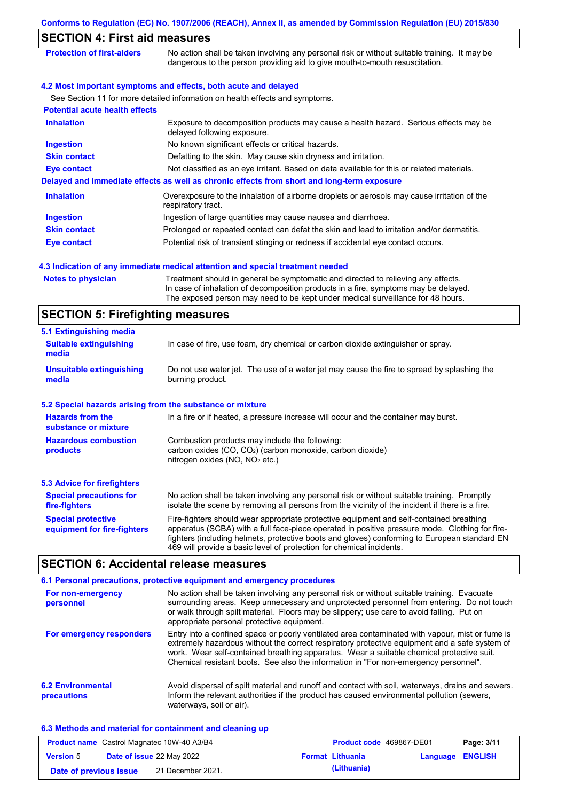|                                                           | Conforms to Regulation (EC) No. 1907/2006 (REACH), Annex II, as amended by Commission Regulation (EU) 2015/830                                                                                                                                                                                                                                                    |
|-----------------------------------------------------------|-------------------------------------------------------------------------------------------------------------------------------------------------------------------------------------------------------------------------------------------------------------------------------------------------------------------------------------------------------------------|
| <b>SECTION 4: First aid measures</b>                      |                                                                                                                                                                                                                                                                                                                                                                   |
| <b>Protection of first-aiders</b>                         | No action shall be taken involving any personal risk or without suitable training. It may be<br>dangerous to the person providing aid to give mouth-to-mouth resuscitation.                                                                                                                                                                                       |
|                                                           | 4.2 Most important symptoms and effects, both acute and delayed                                                                                                                                                                                                                                                                                                   |
|                                                           | See Section 11 for more detailed information on health effects and symptoms.                                                                                                                                                                                                                                                                                      |
| <b>Potential acute health effects</b>                     |                                                                                                                                                                                                                                                                                                                                                                   |
| <b>Inhalation</b>                                         | Exposure to decomposition products may cause a health hazard. Serious effects may be<br>delayed following exposure.                                                                                                                                                                                                                                               |
| <b>Ingestion</b>                                          | No known significant effects or critical hazards.                                                                                                                                                                                                                                                                                                                 |
| <b>Skin contact</b>                                       | Defatting to the skin. May cause skin dryness and irritation.                                                                                                                                                                                                                                                                                                     |
| <b>Eye contact</b>                                        | Not classified as an eye irritant. Based on data available for this or related materials.                                                                                                                                                                                                                                                                         |
|                                                           | Delayed and immediate effects as well as chronic effects from short and long-term exposure                                                                                                                                                                                                                                                                        |
| <b>Inhalation</b>                                         | Overexposure to the inhalation of airborne droplets or aerosols may cause irritation of the<br>respiratory tract.                                                                                                                                                                                                                                                 |
| <b>Ingestion</b>                                          | Ingestion of large quantities may cause nausea and diarrhoea.                                                                                                                                                                                                                                                                                                     |
| <b>Skin contact</b>                                       | Prolonged or repeated contact can defat the skin and lead to irritation and/or dermatitis.                                                                                                                                                                                                                                                                        |
| <b>Eye contact</b>                                        | Potential risk of transient stinging or redness if accidental eye contact occurs.                                                                                                                                                                                                                                                                                 |
|                                                           | 4.3 Indication of any immediate medical attention and special treatment needed                                                                                                                                                                                                                                                                                    |
| <b>Notes to physician</b>                                 | Treatment should in general be symptomatic and directed to relieving any effects.<br>In case of inhalation of decomposition products in a fire, symptoms may be delayed.<br>The exposed person may need to be kept under medical surveillance for 48 hours.                                                                                                       |
| <b>SECTION 5: Firefighting measures</b>                   |                                                                                                                                                                                                                                                                                                                                                                   |
| 5.1 Extinguishing media                                   |                                                                                                                                                                                                                                                                                                                                                                   |
| <b>Suitable extinguishing</b><br>media                    | In case of fire, use foam, dry chemical or carbon dioxide extinguisher or spray.                                                                                                                                                                                                                                                                                  |
| <b>Unsuitable extinguishing</b><br>media                  | Do not use water jet. The use of a water jet may cause the fire to spread by splashing the<br>burning product.                                                                                                                                                                                                                                                    |
| 5.2 Special hazards arising from the substance or mixture |                                                                                                                                                                                                                                                                                                                                                                   |
| <b>Hazards from the</b><br>substance or mixture           | In a fire or if heated, a pressure increase will occur and the container may burst.                                                                                                                                                                                                                                                                               |
| <b>Hazardous combustion</b><br>products                   | Combustion products may include the following:<br>carbon oxides (CO, CO <sub>2</sub> ) (carbon monoxide, carbon dioxide)<br>nitrogen oxides (NO, NO <sub>2</sub> etc.)                                                                                                                                                                                            |
| <b>5.3 Advice for firefighters</b>                        |                                                                                                                                                                                                                                                                                                                                                                   |
| <b>Special precautions for</b><br>fire-fighters           | No action shall be taken involving any personal risk or without suitable training. Promptly<br>isolate the scene by removing all persons from the vicinity of the incident if there is a fire.                                                                                                                                                                    |
| <b>Special protective</b><br>equipment for fire-fighters  | Fire-fighters should wear appropriate protective equipment and self-contained breathing<br>apparatus (SCBA) with a full face-piece operated in positive pressure mode. Clothing for fire-<br>fighters (including helmets, protective boots and gloves) conforming to European standard EN<br>469 will provide a basic level of protection for chemical incidents. |
| <b>SECTION 6: Accidental release measures</b>             |                                                                                                                                                                                                                                                                                                                                                                   |

# **SECTION 6: Accidental release measures**

|                                         | 6.1 Personal precautions, protective equipment and emergency procedures                                                                                                                                                                                                                                                                                                              |
|-----------------------------------------|--------------------------------------------------------------------------------------------------------------------------------------------------------------------------------------------------------------------------------------------------------------------------------------------------------------------------------------------------------------------------------------|
| For non-emergency<br>personnel          | No action shall be taken involving any personal risk or without suitable training. Evacuate<br>surrounding areas. Keep unnecessary and unprotected personnel from entering. Do not touch<br>or walk through spilt material. Floors may be slippery; use care to avoid falling. Put on<br>appropriate personal protective equipment.                                                  |
| For emergency responders                | Entry into a confined space or poorly ventilated area contaminated with vapour, mist or fume is<br>extremely hazardous without the correct respiratory protective equipment and a safe system of<br>work. Wear self-contained breathing apparatus. Wear a suitable chemical protective suit.<br>Chemical resistant boots. See also the information in "For non-emergency personnel". |
| <b>6.2 Environmental</b><br>precautions | Avoid dispersal of spilt material and runoff and contact with soil, waterways, drains and sewers.<br>Inform the relevant authorities if the product has caused environmental pollution (sewers,<br>waterways, soil or air).                                                                                                                                                          |

### **6.3 Methods and material for containment and cleaning up**

|                        | <b>Product name</b> Castrol Magnatec 10W-40 A3/B4 | <b>Product code</b> 469867-DE01 |                         | Page: 3/11 |
|------------------------|---------------------------------------------------|---------------------------------|-------------------------|------------|
| <b>Version</b> 5       | <b>Date of issue 22 May 2022</b>                  | <b>Format Lithuania</b>         | <b>Language ENGLISH</b> |            |
| Date of previous issue | 21 December 2021.                                 | (Lithuania)                     |                         |            |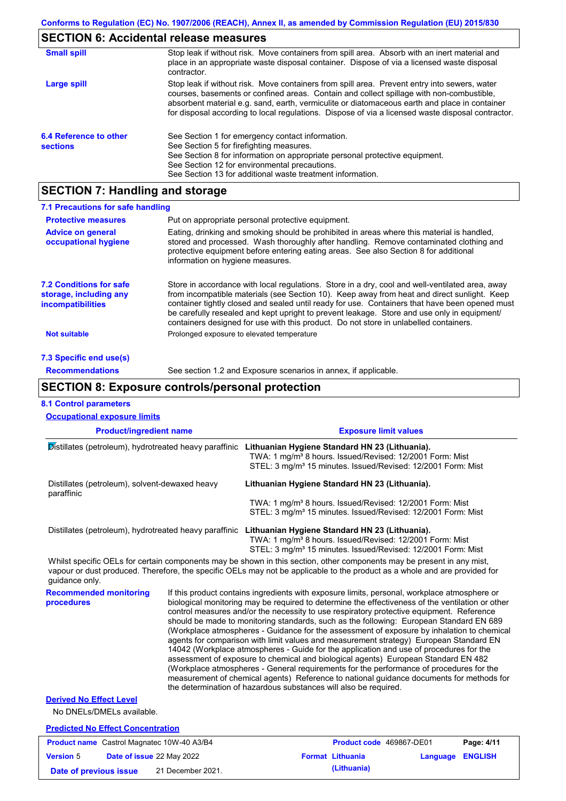### **SECTION 6: Accidental release measures**

| <b>Small spill</b>                        | Stop leak if without risk. Move containers from spill area. Absorb with an inert material and<br>place in an appropriate waste disposal container. Dispose of via a licensed waste disposal<br>contractor.                                                                                                                                                                                     |
|-------------------------------------------|------------------------------------------------------------------------------------------------------------------------------------------------------------------------------------------------------------------------------------------------------------------------------------------------------------------------------------------------------------------------------------------------|
| Large spill                               | Stop leak if without risk. Move containers from spill area. Prevent entry into sewers, water<br>courses, basements or confined areas. Contain and collect spillage with non-combustible,<br>absorbent material e.g. sand, earth, vermiculite or diatomaceous earth and place in container<br>for disposal according to local regulations. Dispose of via a licensed waste disposal contractor. |
| 6.4 Reference to other<br><b>sections</b> | See Section 1 for emergency contact information.<br>See Section 5 for firefighting measures.<br>See Section 8 for information on appropriate personal protective equipment.<br>See Section 12 for environmental precautions.<br>See Section 13 for additional waste treatment information.                                                                                                     |

## **SECTION 7: Handling and storage**

| 7.1 Precautions for safe handling                                                    |                                                                                                                                                                                                                                                                                                                                                                                                                                                                                          |
|--------------------------------------------------------------------------------------|------------------------------------------------------------------------------------------------------------------------------------------------------------------------------------------------------------------------------------------------------------------------------------------------------------------------------------------------------------------------------------------------------------------------------------------------------------------------------------------|
| <b>Protective measures</b>                                                           | Put on appropriate personal protective equipment.                                                                                                                                                                                                                                                                                                                                                                                                                                        |
| <b>Advice on general</b><br>occupational hygiene                                     | Eating, drinking and smoking should be prohibited in areas where this material is handled,<br>stored and processed. Wash thoroughly after handling. Remove contaminated clothing and<br>protective equipment before entering eating areas. See also Section 8 for additional<br>information on hygiene measures.                                                                                                                                                                         |
| <b>7.2 Conditions for safe</b><br>storage, including any<br><i>incompatibilities</i> | Store in accordance with local regulations. Store in a dry, cool and well-ventilated area, away<br>from incompatible materials (see Section 10). Keep away from heat and direct sunlight. Keep<br>container tightly closed and sealed until ready for use. Containers that have been opened must<br>be carefully resealed and kept upright to prevent leakage. Store and use only in equipment/<br>containers designed for use with this product. Do not store in unlabelled containers. |
| <b>Not suitable</b>                                                                  | Prolonged exposure to elevated temperature                                                                                                                                                                                                                                                                                                                                                                                                                                               |
| 7.3 Specific end use(s)                                                              |                                                                                                                                                                                                                                                                                                                                                                                                                                                                                          |
| <b>Recommendations</b>                                                               | See section 1.2 and Exposure scenarios in annex, if applicable.                                                                                                                                                                                                                                                                                                                                                                                                                          |

### **SECTION 8: Exposure controls/personal protection**

#### **Product/ingredient name <b>EXPOSURE EXPOSURE LIMIT VALUES Recommended monitoring procedures** If this product contains ingredients with exposure limits, personal, workplace atmosphere or biological monitoring may be required to determine the effectiveness of the ventilation or other control measures and/or the necessity to use respiratory protective equipment. Reference should be made to monitoring standards, such as the following: European Standard EN 689 (Workplace atmospheres - Guidance for the assessment of exposure by inhalation to chemical agents for comparison with limit values and measurement strategy) European Standard EN 14042 (Workplace atmospheres - Guide for the application and use of procedures for the assessment of exposure to chemical and biological agents) European Standard EN 482 (Workplace atmospheres - General requirements for the performance of procedures for the measurement of chemical agents) Reference to national guidance documents for methods for the determination of hazardous substances will also be required. No DNELs/DMELs available. **Predicted No Effect Concentration 8.1 Control parameters Derived No Effect Level** Whilst specific OELs for certain components may be shown in this section, other components may be present in any mist, vapour or dust produced. Therefore, the specific OELs may not be applicable to the product as a whole and are provided for guidance only. **Occupational exposure limits** Distillates (petroleum), hydrotreated heavy paraffinic **Lithuanian Hygiene Standard HN 23 (Lithuania).** TWA: 1 mg/m³ 8 hours. Issued/Revised: 12/2001 Form: Mist STEL: 3 mg/m<sup>3</sup> 15 minutes. Issued/Revised: 12/2001 Form: Mist Distillates (petroleum), solvent-dewaxed heavy paraffinic **Lithuanian Hygiene Standard HN 23 (Lithuania).** TWA: 1 mg/m³ 8 hours. Issued/Revised: 12/2001 Form: Mist STEL: 3 mg/m<sup>3</sup> 15 minutes. Issued/Revised: 12/2001 Form: Mist Distillates (petroleum), hydrotreated heavy paraffinic **Lithuanian Hygiene Standard HN 23 (Lithuania).** TWA: 1 mg/m³ 8 hours. Issued/Revised: 12/2001 Form: Mist STEL: 3 mg/m<sup>3</sup> 15 minutes. Issued/Revised: 12/2001 Form: Mist

| <b>Product name</b> Castrol Magnatec 10W-40 A3/B4 |  | Product code 469867-DE01         |  | Page: 4/11              |                         |  |
|---------------------------------------------------|--|----------------------------------|--|-------------------------|-------------------------|--|
| <b>Version 5</b>                                  |  | <b>Date of issue 22 May 2022</b> |  | <b>Format Lithuania</b> | <b>Language ENGLISH</b> |  |
| Date of previous issue                            |  | 21 December 2021.                |  | (Lithuania)             |                         |  |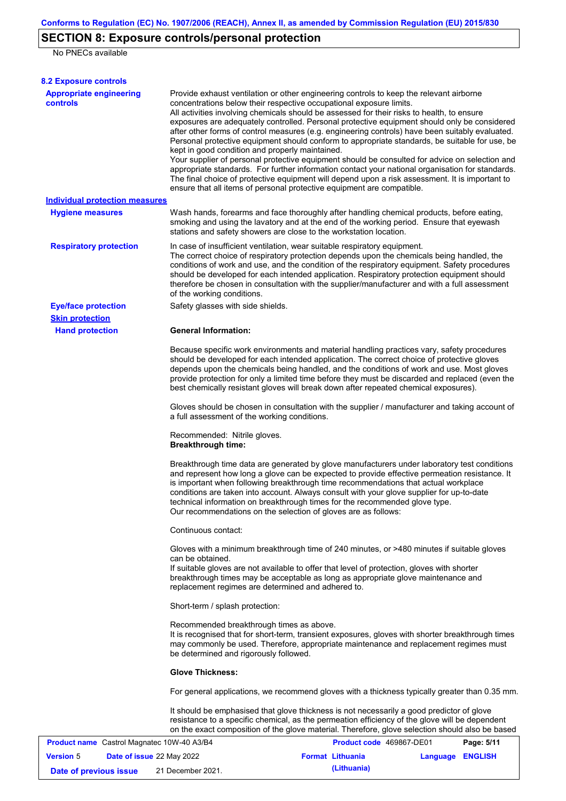# **SECTION 8: Exposure controls/personal protection**

No PNECs available

| <b>8.2 Exposure controls</b>                      |                                                                                                                                                                                                                                                                                                                                                                                                                                                                                                                                                                                                                                                                                                                                                                                                                                                                                                                                                                                                         |                          |                  |            |
|---------------------------------------------------|---------------------------------------------------------------------------------------------------------------------------------------------------------------------------------------------------------------------------------------------------------------------------------------------------------------------------------------------------------------------------------------------------------------------------------------------------------------------------------------------------------------------------------------------------------------------------------------------------------------------------------------------------------------------------------------------------------------------------------------------------------------------------------------------------------------------------------------------------------------------------------------------------------------------------------------------------------------------------------------------------------|--------------------------|------------------|------------|
| <b>Appropriate engineering</b><br><b>controls</b> | Provide exhaust ventilation or other engineering controls to keep the relevant airborne<br>concentrations below their respective occupational exposure limits.<br>All activities involving chemicals should be assessed for their risks to health, to ensure<br>exposures are adequately controlled. Personal protective equipment should only be considered<br>after other forms of control measures (e.g. engineering controls) have been suitably evaluated.<br>Personal protective equipment should conform to appropriate standards, be suitable for use, be<br>kept in good condition and properly maintained.<br>Your supplier of personal protective equipment should be consulted for advice on selection and<br>appropriate standards. For further information contact your national organisation for standards.<br>The final choice of protective equipment will depend upon a risk assessment. It is important to<br>ensure that all items of personal protective equipment are compatible. |                          |                  |            |
| <b>Individual protection measures</b>             |                                                                                                                                                                                                                                                                                                                                                                                                                                                                                                                                                                                                                                                                                                                                                                                                                                                                                                                                                                                                         |                          |                  |            |
| <b>Hygiene measures</b>                           | Wash hands, forearms and face thoroughly after handling chemical products, before eating,<br>smoking and using the lavatory and at the end of the working period. Ensure that eyewash<br>stations and safety showers are close to the workstation location.                                                                                                                                                                                                                                                                                                                                                                                                                                                                                                                                                                                                                                                                                                                                             |                          |                  |            |
| <b>Respiratory protection</b>                     | In case of insufficient ventilation, wear suitable respiratory equipment.<br>The correct choice of respiratory protection depends upon the chemicals being handled, the<br>conditions of work and use, and the condition of the respiratory equipment. Safety procedures<br>should be developed for each intended application. Respiratory protection equipment should<br>therefore be chosen in consultation with the supplier/manufacturer and with a full assessment<br>of the working conditions.                                                                                                                                                                                                                                                                                                                                                                                                                                                                                                   |                          |                  |            |
| <b>Eye/face protection</b>                        | Safety glasses with side shields.                                                                                                                                                                                                                                                                                                                                                                                                                                                                                                                                                                                                                                                                                                                                                                                                                                                                                                                                                                       |                          |                  |            |
| <b>Skin protection</b>                            |                                                                                                                                                                                                                                                                                                                                                                                                                                                                                                                                                                                                                                                                                                                                                                                                                                                                                                                                                                                                         |                          |                  |            |
| <b>Hand protection</b>                            | <b>General Information:</b>                                                                                                                                                                                                                                                                                                                                                                                                                                                                                                                                                                                                                                                                                                                                                                                                                                                                                                                                                                             |                          |                  |            |
|                                                   | Because specific work environments and material handling practices vary, safety procedures<br>should be developed for each intended application. The correct choice of protective gloves<br>depends upon the chemicals being handled, and the conditions of work and use. Most gloves<br>provide protection for only a limited time before they must be discarded and replaced (even the<br>best chemically resistant gloves will break down after repeated chemical exposures).                                                                                                                                                                                                                                                                                                                                                                                                                                                                                                                        |                          |                  |            |
|                                                   | Gloves should be chosen in consultation with the supplier / manufacturer and taking account of<br>a full assessment of the working conditions.                                                                                                                                                                                                                                                                                                                                                                                                                                                                                                                                                                                                                                                                                                                                                                                                                                                          |                          |                  |            |
|                                                   | Recommended: Nitrile gloves.<br><b>Breakthrough time:</b>                                                                                                                                                                                                                                                                                                                                                                                                                                                                                                                                                                                                                                                                                                                                                                                                                                                                                                                                               |                          |                  |            |
|                                                   | Breakthrough time data are generated by glove manufacturers under laboratory test conditions<br>and represent how long a glove can be expected to provide effective permeation resistance. It<br>is important when following breakthrough time recommendations that actual workplace<br>conditions are taken into account. Always consult with your glove supplier for up-to-date<br>technical information on breakthrough times for the recommended glove type.<br>Our recommendations on the selection of gloves are as follows:                                                                                                                                                                                                                                                                                                                                                                                                                                                                      |                          |                  |            |
|                                                   | Continuous contact:                                                                                                                                                                                                                                                                                                                                                                                                                                                                                                                                                                                                                                                                                                                                                                                                                                                                                                                                                                                     |                          |                  |            |
|                                                   | Gloves with a minimum breakthrough time of 240 minutes, or >480 minutes if suitable gloves<br>can be obtained.<br>If suitable gloves are not available to offer that level of protection, gloves with shorter<br>breakthrough times may be acceptable as long as appropriate glove maintenance and<br>replacement regimes are determined and adhered to.                                                                                                                                                                                                                                                                                                                                                                                                                                                                                                                                                                                                                                                |                          |                  |            |
|                                                   | Short-term / splash protection:                                                                                                                                                                                                                                                                                                                                                                                                                                                                                                                                                                                                                                                                                                                                                                                                                                                                                                                                                                         |                          |                  |            |
|                                                   | Recommended breakthrough times as above.<br>It is recognised that for short-term, transient exposures, gloves with shorter breakthrough times<br>may commonly be used. Therefore, appropriate maintenance and replacement regimes must<br>be determined and rigorously followed.                                                                                                                                                                                                                                                                                                                                                                                                                                                                                                                                                                                                                                                                                                                        |                          |                  |            |
|                                                   | <b>Glove Thickness:</b>                                                                                                                                                                                                                                                                                                                                                                                                                                                                                                                                                                                                                                                                                                                                                                                                                                                                                                                                                                                 |                          |                  |            |
|                                                   | For general applications, we recommend gloves with a thickness typically greater than 0.35 mm.                                                                                                                                                                                                                                                                                                                                                                                                                                                                                                                                                                                                                                                                                                                                                                                                                                                                                                          |                          |                  |            |
|                                                   | It should be emphasised that glove thickness is not necessarily a good predictor of glove<br>resistance to a specific chemical, as the permeation efficiency of the glove will be dependent<br>on the exact composition of the glove material. Therefore, glove selection should also be based                                                                                                                                                                                                                                                                                                                                                                                                                                                                                                                                                                                                                                                                                                          |                          |                  |            |
| <b>Product name</b> Castrol Magnatec 10W-40 A3/B4 |                                                                                                                                                                                                                                                                                                                                                                                                                                                                                                                                                                                                                                                                                                                                                                                                                                                                                                                                                                                                         | Product code 469867-DE01 |                  | Page: 5/11 |
| <b>Version 5</b><br>Date of issue 22 May 2022     |                                                                                                                                                                                                                                                                                                                                                                                                                                                                                                                                                                                                                                                                                                                                                                                                                                                                                                                                                                                                         | <b>Format Lithuania</b>  | Language ENGLISH |            |

**Date of previous issue (Lithuania)** 21 December 2021.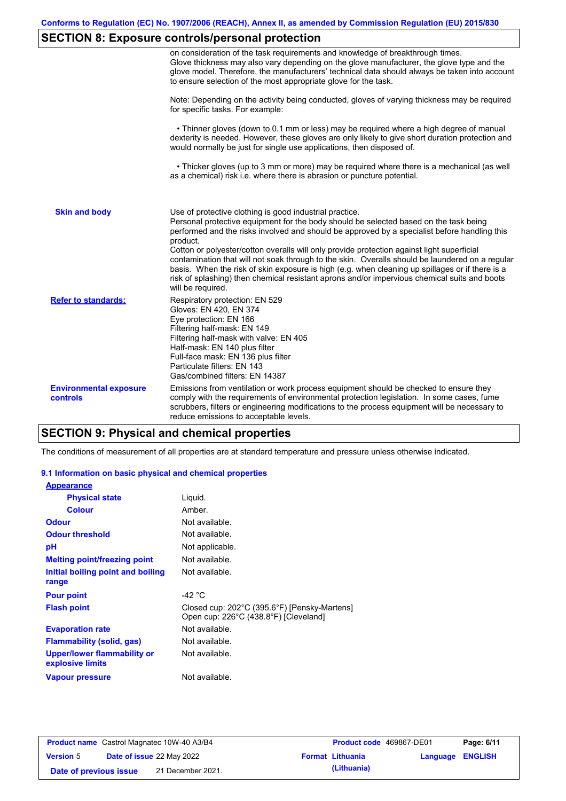# **SECTION 8: Exposure controls/personal protection**

|                                           | on consideration of the task requirements and knowledge of breakthrough times.<br>Glove thickness may also vary depending on the glove manufacturer, the glove type and the<br>glove model. Therefore, the manufacturers' technical data should always be taken into account<br>to ensure selection of the most appropriate glove for the task.                                                                                                                                                                                                                                                                                                                                       |
|-------------------------------------------|---------------------------------------------------------------------------------------------------------------------------------------------------------------------------------------------------------------------------------------------------------------------------------------------------------------------------------------------------------------------------------------------------------------------------------------------------------------------------------------------------------------------------------------------------------------------------------------------------------------------------------------------------------------------------------------|
|                                           | Note: Depending on the activity being conducted, gloves of varying thickness may be required<br>for specific tasks. For example:                                                                                                                                                                                                                                                                                                                                                                                                                                                                                                                                                      |
|                                           | • Thinner gloves (down to 0.1 mm or less) may be required where a high degree of manual<br>dexterity is needed. However, these gloves are only likely to give short duration protection and<br>would normally be just for single use applications, then disposed of.                                                                                                                                                                                                                                                                                                                                                                                                                  |
|                                           | • Thicker gloves (up to 3 mm or more) may be required where there is a mechanical (as well<br>as a chemical) risk i.e. where there is abrasion or puncture potential.                                                                                                                                                                                                                                                                                                                                                                                                                                                                                                                 |
| <b>Skin and body</b>                      | Use of protective clothing is good industrial practice.<br>Personal protective equipment for the body should be selected based on the task being<br>performed and the risks involved and should be approved by a specialist before handling this<br>product.<br>Cotton or polyester/cotton overalls will only provide protection against light superficial<br>contamination that will not soak through to the skin. Overalls should be laundered on a regular<br>basis. When the risk of skin exposure is high (e.g. when cleaning up spillages or if there is a<br>risk of splashing) then chemical resistant aprons and/or impervious chemical suits and boots<br>will be required. |
| <b>Refer to standards:</b>                | Respiratory protection: EN 529<br>Gloves: EN 420, EN 374<br>Eye protection: EN 166<br>Filtering half-mask: EN 149<br>Filtering half-mask with valve: EN 405<br>Half-mask: EN 140 plus filter<br>Full-face mask: EN 136 plus filter<br>Particulate filters: EN 143<br>Gas/combined filters: EN 14387                                                                                                                                                                                                                                                                                                                                                                                   |
| <b>Environmental exposure</b><br>controls | Emissions from ventilation or work process equipment should be checked to ensure they<br>comply with the requirements of environmental protection legislation. In some cases, fume<br>scrubbers, filters or engineering modifications to the process equipment will be necessary to<br>reduce emissions to acceptable levels.                                                                                                                                                                                                                                                                                                                                                         |

# **SECTION 9: Physical and chemical properties**

The conditions of measurement of all properties are at standard temperature and pressure unless otherwise indicated.

### **9.1 Information on basic physical and chemical properties**

| <b>Appearance</b>                                      |                                                                                       |
|--------------------------------------------------------|---------------------------------------------------------------------------------------|
| <b>Physical state</b>                                  | Liguid.                                                                               |
| <b>Colour</b>                                          | Amber.                                                                                |
| <b>Odour</b>                                           | Not available.                                                                        |
| <b>Odour threshold</b>                                 | Not available.                                                                        |
| рH                                                     | Not applicable.                                                                       |
| <b>Melting point/freezing point</b>                    | Not available.                                                                        |
| Initial boiling point and boiling<br>range             | Not available.                                                                        |
| <b>Pour point</b>                                      | -42 $^{\circ}$ C                                                                      |
| <b>Flash point</b>                                     | Closed cup: 202°C (395.6°F) [Pensky-Martens]<br>Open cup: 226°C (438.8°F) [Cleveland] |
| <b>Evaporation rate</b>                                | Not available.                                                                        |
| <b>Flammability (solid, gas)</b>                       | Not available.                                                                        |
| <b>Upper/lower flammability or</b><br>explosive limits | Not available.                                                                        |
| <b>Vapour pressure</b>                                 | Not available.                                                                        |

| <b>Product name</b> Castrol Magnatec 10W-40 A3/B4 |  |                           | <b>Product code</b> 469867-DE01 |                         | Page: 6/11              |  |
|---------------------------------------------------|--|---------------------------|---------------------------------|-------------------------|-------------------------|--|
| <b>Version 5</b>                                  |  | Date of issue 22 May 2022 |                                 | <b>Format Lithuania</b> | <b>Language ENGLISH</b> |  |
| Date of previous issue                            |  | 21 December 2021.         |                                 | (Lithuania)             |                         |  |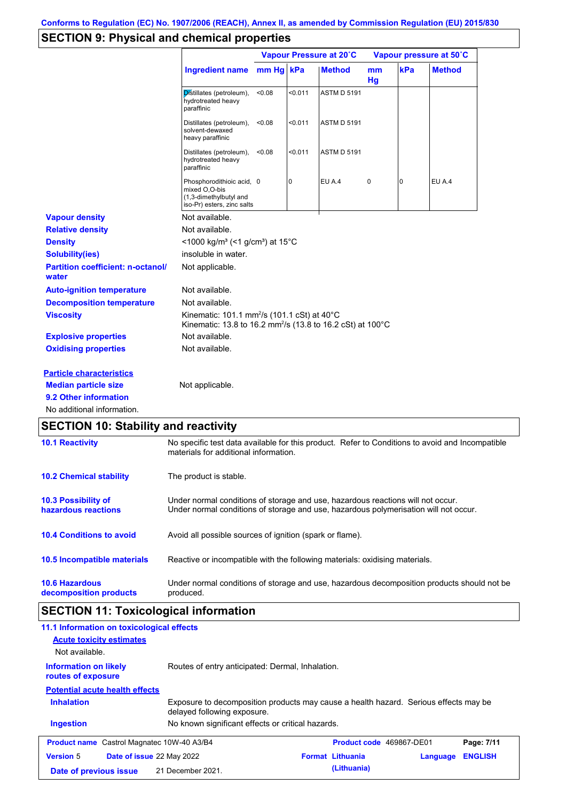## **SECTION 9: Physical and chemical properties**

|                                                   |                                                                                                                                   | Vapour Pressure at 20°C |         |                    | Vapour pressure at 50°C |                |               |
|---------------------------------------------------|-----------------------------------------------------------------------------------------------------------------------------------|-------------------------|---------|--------------------|-------------------------|----------------|---------------|
|                                                   | Ingredient name mm Hg kPa                                                                                                         |                         |         | <b>Method</b>      | mm<br>Hg                | kPa            | <b>Method</b> |
|                                                   | Distillates (petroleum),<br>hydrotreated heavy<br>paraffinic                                                                      | < 0.08                  | < 0.011 | <b>ASTM D 5191</b> |                         |                |               |
|                                                   | Distillates (petroleum),<br>solvent-dewaxed<br>heavy paraffinic                                                                   | < 0.08                  | < 0.011 | <b>ASTM D 5191</b> |                         |                |               |
|                                                   | Distillates (petroleum),<br>hydrotreated heavy<br>paraffinic                                                                      | < 0.08                  | < 0.011 | <b>ASTM D 5191</b> |                         |                |               |
|                                                   | Phosphorodithioic acid, 0<br>mixed O,O-bis<br>(1,3-dimethylbutyl and<br>iso-Pr) esters, zinc salts                                |                         | 0       | EU A.4             | $\pmb{0}$               | $\overline{0}$ | EU A.4        |
| <b>Vapour density</b>                             | Not available.                                                                                                                    |                         |         |                    |                         |                |               |
| <b>Relative density</b>                           | Not available.                                                                                                                    |                         |         |                    |                         |                |               |
| <b>Density</b>                                    | <1000 kg/m <sup>3</sup> (<1 g/cm <sup>3</sup> ) at 15 <sup>°</sup> C                                                              |                         |         |                    |                         |                |               |
| <b>Solubility(ies)</b>                            | insoluble in water.                                                                                                               |                         |         |                    |                         |                |               |
| <b>Partition coefficient: n-octanol/</b><br>water | Not applicable.                                                                                                                   |                         |         |                    |                         |                |               |
| <b>Auto-ignition temperature</b>                  | Not available.                                                                                                                    |                         |         |                    |                         |                |               |
| <b>Decomposition temperature</b>                  | Not available.                                                                                                                    |                         |         |                    |                         |                |               |
| <b>Viscosity</b>                                  | Kinematic: 101.1 mm <sup>2</sup> /s (101.1 cSt) at 40°C<br>Kinematic: 13.8 to 16.2 mm <sup>2</sup> /s (13.8 to 16.2 cSt) at 100°C |                         |         |                    |                         |                |               |
| <b>Explosive properties</b>                       | Not available.                                                                                                                    |                         |         |                    |                         |                |               |
| <b>Oxidising properties</b>                       | Not available.                                                                                                                    |                         |         |                    |                         |                |               |
| <b>Particle characteristics</b>                   |                                                                                                                                   |                         |         |                    |                         |                |               |
| <b>Median particle size</b>                       | Not applicable.                                                                                                                   |                         |         |                    |                         |                |               |
| 9.2 Other information                             |                                                                                                                                   |                         |         |                    |                         |                |               |
| No additional information.                        |                                                                                                                                   |                         |         |                    |                         |                |               |

| <b>10.1 Reactivity</b>                            | No specific test data available for this product. Refer to Conditions to avoid and Incompatible<br>materials for additional information.                                |  |  |
|---------------------------------------------------|-------------------------------------------------------------------------------------------------------------------------------------------------------------------------|--|--|
| <b>10.2 Chemical stability</b>                    | The product is stable.                                                                                                                                                  |  |  |
| <b>10.3 Possibility of</b><br>hazardous reactions | Under normal conditions of storage and use, hazardous reactions will not occur.<br>Under normal conditions of storage and use, hazardous polymerisation will not occur. |  |  |
| <b>10.4 Conditions to avoid</b>                   | Avoid all possible sources of ignition (spark or flame).                                                                                                                |  |  |
| 10.5 Incompatible materials                       | Reactive or incompatible with the following materials: oxidising materials.                                                                                             |  |  |
| <b>10.6 Hazardous</b><br>decomposition products   | Under normal conditions of storage and use, hazardous decomposition products should not be<br>produced.                                                                 |  |  |

# **SECTION 11: Toxicological information**

| 11.1 Information on toxicological effects                                                              |                                                                                                                     |                                 |          |                |
|--------------------------------------------------------------------------------------------------------|---------------------------------------------------------------------------------------------------------------------|---------------------------------|----------|----------------|
| <b>Acute toxicity estimates</b>                                                                        |                                                                                                                     |                                 |          |                |
| Not available.                                                                                         |                                                                                                                     |                                 |          |                |
| Routes of entry anticipated: Dermal, Inhalation.<br><b>Information on likely</b><br>routes of exposure |                                                                                                                     |                                 |          |                |
| <b>Potential acute health effects</b>                                                                  |                                                                                                                     |                                 |          |                |
| <b>Inhalation</b>                                                                                      | Exposure to decomposition products may cause a health hazard. Serious effects may be<br>delayed following exposure. |                                 |          |                |
| <b>Ingestion</b>                                                                                       | No known significant effects or critical hazards.                                                                   |                                 |          |                |
| <b>Product name</b> Castrol Magnatec 10W-40 A3/B4                                                      |                                                                                                                     | <b>Product code</b> 469867-DE01 |          | Page: 7/11     |
| <b>Version 5</b><br><b>Date of issue 22 May 2022</b>                                                   |                                                                                                                     | <b>Format Lithuania</b>         | Language | <b>ENGLISH</b> |
| Date of previous issue                                                                                 | 21 December 2021.                                                                                                   | (Lithuania)                     |          |                |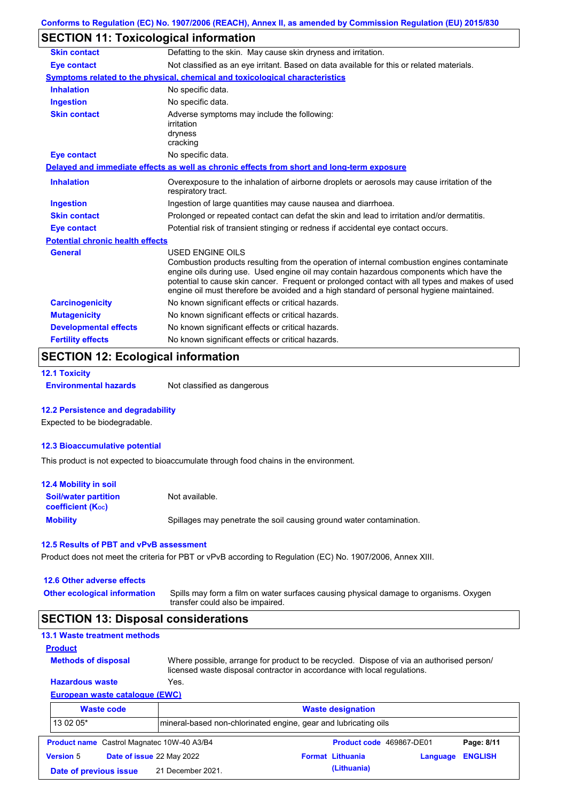## **SECTION 11: Toxicological information**

| <b>Skin contact</b>                     | Defatting to the skin. May cause skin dryness and irritation.                                                                                                                                                                                                                                                                                                                                                   |  |  |  |
|-----------------------------------------|-----------------------------------------------------------------------------------------------------------------------------------------------------------------------------------------------------------------------------------------------------------------------------------------------------------------------------------------------------------------------------------------------------------------|--|--|--|
| <b>Eye contact</b>                      | Not classified as an eye irritant. Based on data available for this or related materials.                                                                                                                                                                                                                                                                                                                       |  |  |  |
|                                         | Symptoms related to the physical, chemical and toxicological characteristics                                                                                                                                                                                                                                                                                                                                    |  |  |  |
| <b>Inhalation</b>                       | No specific data.                                                                                                                                                                                                                                                                                                                                                                                               |  |  |  |
| <b>Ingestion</b>                        | No specific data.                                                                                                                                                                                                                                                                                                                                                                                               |  |  |  |
| <b>Skin contact</b>                     | Adverse symptoms may include the following:<br>irritation<br>dryness<br>cracking                                                                                                                                                                                                                                                                                                                                |  |  |  |
| <b>Eye contact</b>                      | No specific data.                                                                                                                                                                                                                                                                                                                                                                                               |  |  |  |
|                                         | Delayed and immediate effects as well as chronic effects from short and long-term exposure                                                                                                                                                                                                                                                                                                                      |  |  |  |
| <b>Inhalation</b>                       | Overexposure to the inhalation of airborne droplets or aerosols may cause irritation of the<br>respiratory tract.                                                                                                                                                                                                                                                                                               |  |  |  |
| <b>Ingestion</b>                        | Ingestion of large quantities may cause nausea and diarrhoea.                                                                                                                                                                                                                                                                                                                                                   |  |  |  |
| <b>Skin contact</b>                     | Prolonged or repeated contact can defat the skin and lead to irritation and/or dermatitis.                                                                                                                                                                                                                                                                                                                      |  |  |  |
| <b>Eye contact</b>                      | Potential risk of transient stinging or redness if accidental eye contact occurs.                                                                                                                                                                                                                                                                                                                               |  |  |  |
| <b>Potential chronic health effects</b> |                                                                                                                                                                                                                                                                                                                                                                                                                 |  |  |  |
| <b>General</b>                          | <b>USED ENGINE OILS</b><br>Combustion products resulting from the operation of internal combustion engines contaminate<br>engine oils during use. Used engine oil may contain hazardous components which have the<br>potential to cause skin cancer. Frequent or prolonged contact with all types and makes of used<br>engine oil must therefore be avoided and a high standard of personal hygiene maintained. |  |  |  |
| <b>Carcinogenicity</b>                  | No known significant effects or critical hazards.                                                                                                                                                                                                                                                                                                                                                               |  |  |  |
| <b>Mutagenicity</b>                     | No known significant effects or critical hazards.                                                                                                                                                                                                                                                                                                                                                               |  |  |  |
| <b>Developmental effects</b>            | No known significant effects or critical hazards.                                                                                                                                                                                                                                                                                                                                                               |  |  |  |
| <b>Fertility effects</b>                | No known significant effects or critical hazards.                                                                                                                                                                                                                                                                                                                                                               |  |  |  |

# **SECTION 12: Ecological information**

```
12.1 Toxicity
```
**Environmental hazards** Not classified as dangerous

### **12.2 Persistence and degradability**

Expected to be biodegradable.

### **12.3 Bioaccumulative potential**

This product is not expected to bioaccumulate through food chains in the environment.

| <b>12.4 Mobility in soil</b>                                  |                                                                      |
|---------------------------------------------------------------|----------------------------------------------------------------------|
| <b>Soil/water partition</b><br>coefficient (K <sub>oc</sub> ) | Not available.                                                       |
| <b>Mobility</b>                                               | Spillages may penetrate the soil causing ground water contamination. |

#### **12.5 Results of PBT and vPvB assessment**

Product does not meet the criteria for PBT or vPvB according to Regulation (EC) No. 1907/2006, Annex XIII.

| 12.6 Other adverse effects<br><b>Other ecological information</b> | Spills may form a film on water surfaces causing physical damage to organisms. Oxygen<br>transfer could also be impaired.                                            |  |  |  |  |
|-------------------------------------------------------------------|----------------------------------------------------------------------------------------------------------------------------------------------------------------------|--|--|--|--|
| <b>SECTION 13: Disposal considerations</b>                        |                                                                                                                                                                      |  |  |  |  |
| 13.1 Waste treatment methods                                      |                                                                                                                                                                      |  |  |  |  |
| <b>Product</b>                                                    |                                                                                                                                                                      |  |  |  |  |
| <b>Methods of disposal</b>                                        | Where possible, arrange for product to be recycled. Dispose of via an authorised person/<br>licensed waste disposal contractor in accordance with local regulations. |  |  |  |  |
| <b>Hazardous waste</b>                                            | Yes.                                                                                                                                                                 |  |  |  |  |

### **European waste catalogue (EWC)**

|                  | <b>Waste code</b>                                 | <b>Waste designation</b>                                        |  |                          |          |                |
|------------------|---------------------------------------------------|-----------------------------------------------------------------|--|--------------------------|----------|----------------|
| 13 02 05*        |                                                   | mineral-based non-chlorinated engine, gear and lubricating oils |  |                          |          |                |
|                  | <b>Product name</b> Castrol Magnatec 10W-40 A3/B4 |                                                                 |  | Product code 469867-DE01 |          | Page: 8/11     |
| <b>Version 5</b> | Date of issue 22 May 2022                         |                                                                 |  | <b>Format Lithuania</b>  | Language | <b>ENGLISH</b> |
|                  | Date of previous issue                            | 21 December 2021.                                               |  | (Lithuania)              |          |                |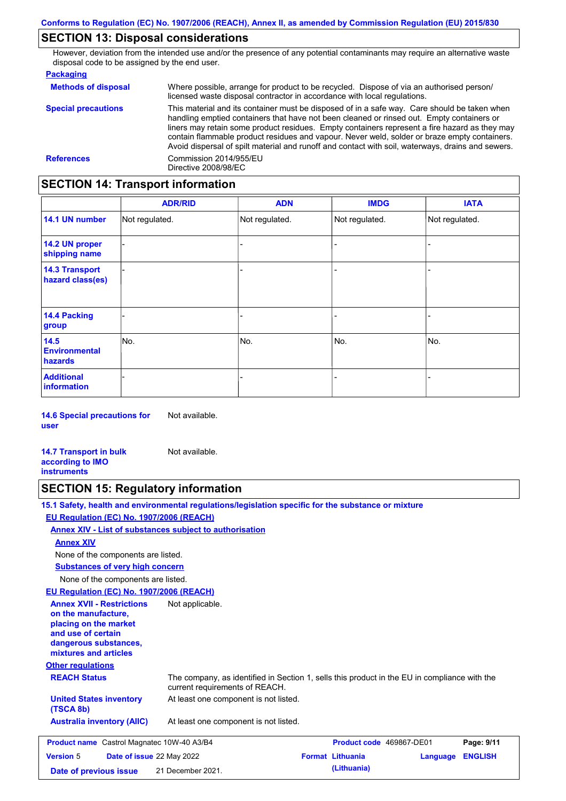## **SECTION 13: Disposal considerations**

However, deviation from the intended use and/or the presence of any potential contaminants may require an alternative waste disposal code to be assigned by the end user.

#### **Packaging**

| <b>Methods of disposal</b> | Where possible, arrange for product to be recycled. Dispose of via an authorised person/<br>licensed waste disposal contractor in accordance with local regulations.                                                                                                                                                                                                                                                                                                                            |
|----------------------------|-------------------------------------------------------------------------------------------------------------------------------------------------------------------------------------------------------------------------------------------------------------------------------------------------------------------------------------------------------------------------------------------------------------------------------------------------------------------------------------------------|
| <b>Special precautions</b> | This material and its container must be disposed of in a safe way. Care should be taken when<br>handling emptied containers that have not been cleaned or rinsed out. Empty containers or<br>liners may retain some product residues. Empty containers represent a fire hazard as they may<br>contain flammable product residues and vapour. Never weld, solder or braze empty containers.<br>Avoid dispersal of spilt material and runoff and contact with soil, waterways, drains and sewers. |
| <b>References</b>          | Commission 2014/955/EU<br>Directive 2008/98/EC                                                                                                                                                                                                                                                                                                                                                                                                                                                  |

## **SECTION 14: Transport information**

|                                           | <b>ADR/RID</b> | <b>ADN</b>     | <b>IMDG</b>    | <b>IATA</b>    |
|-------------------------------------------|----------------|----------------|----------------|----------------|
| 14.1 UN number                            | Not regulated. | Not regulated. | Not regulated. | Not regulated. |
| 14.2 UN proper<br>shipping name           |                |                | -              |                |
| <b>14.3 Transport</b><br>hazard class(es) |                |                | -              |                |
| 14.4 Packing<br>group                     |                |                | -              |                |
| 14.5<br><b>Environmental</b><br>hazards   | No.            | No.            | No.            | No.            |
| <b>Additional</b><br><b>information</b>   |                |                |                |                |

**14.6 Special precautions for user** Not available.

**14.7 Transport in bulk according to IMO instruments** Not available.

### **SECTION 15: Regulatory information**

**15.1 Safety, health and environmental regulations/legislation specific for the substance or mixture**

### **EU Regulation (EC) No. 1907/2006 (REACH)**

**Annex XIV - List of substances subject to authorisation**

#### **Annex XIV**

None of the components are listed.

**Substances of very high concern**

None of the components are listed.

### **EU Regulation (EC) No. 1907/2006 (REACH)**

**Other regulations REACH Status** The company, as identified in Section 1, sells this product in the EU in compliance with the current requirements of REACH. At least one component is not listed. **United States inventory** At least one component is not listed. **(TSCA 8b) Australia inventory (AIIC) Annex XVII - Restrictions on the manufacture, placing on the market and use of certain dangerous substances, mixtures and articles** Not applicable. **Product name** Castrol Magnatec 10W-40 A3/B4 **Product code 469867-DE01 Page: 9/11 Version** 5 **Date of issue** 22 May 2022 **Format Lithuania Language ENGLISH Date of previous issue (Lithuania)** 21 December 2021.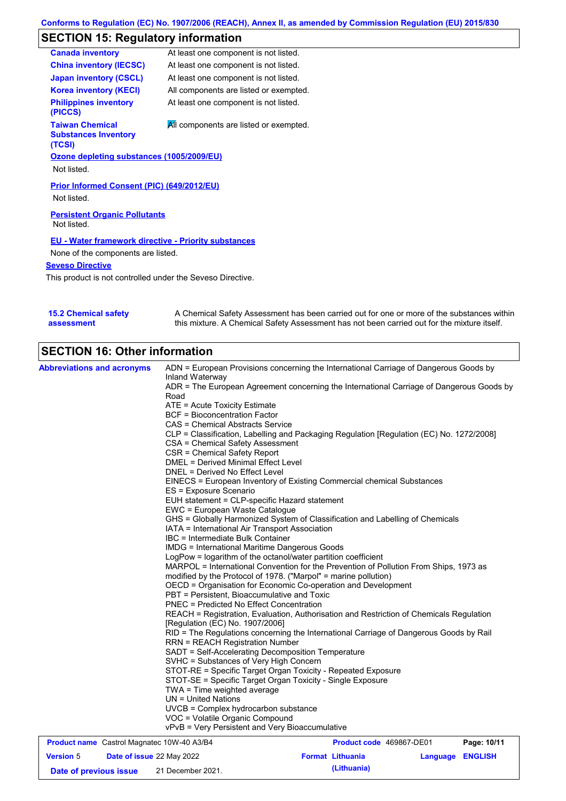# **SECTION 15: Regulatory information**

|                                                             | <b>Canada inventory</b>                                         | At least one component is not listed.  |  |  |
|-------------------------------------------------------------|-----------------------------------------------------------------|----------------------------------------|--|--|
|                                                             | <b>China inventory (IECSC)</b>                                  | At least one component is not listed.  |  |  |
|                                                             | <b>Japan inventory (CSCL)</b>                                   | At least one component is not listed.  |  |  |
|                                                             | <b>Korea inventory (KECI)</b>                                   | All components are listed or exempted. |  |  |
|                                                             | <b>Philippines inventory</b><br>(PICCS)                         | At least one component is not listed.  |  |  |
|                                                             | <b>Taiwan Chemical</b><br><b>Substances Inventory</b><br>(TCSI) | All components are listed or exempted. |  |  |
|                                                             | Ozone depleting substances (1005/2009/EU)                       |                                        |  |  |
|                                                             | Not listed.                                                     |                                        |  |  |
| Prior Informed Consent (PIC) (649/2012/EU)<br>Not listed.   |                                                                 |                                        |  |  |
| <b>Persistent Organic Pollutants</b><br>Not listed.         |                                                                 |                                        |  |  |
| <b>EU - Water framework directive - Priority substances</b> |                                                                 |                                        |  |  |
| None of the components are listed.                          |                                                                 |                                        |  |  |
| <b>Seveso Directive</b>                                     |                                                                 |                                        |  |  |
| This product is not controlled under the Seveso Directive.  |                                                                 |                                        |  |  |

| <b>15.2 Chemical safety</b> | A Chemical Safety Assessment has been carried out for one or more of the substances within  |
|-----------------------------|---------------------------------------------------------------------------------------------|
| assessment                  | this mixture. A Chemical Safety Assessment has not been carried out for the mixture itself. |

# **SECTION 16: Other information**

| <b>Abbreviations and acronyms</b>                 | ADN = European Provisions concerning the International Carriage of Dangerous Goods by                                                                                                                                                                                                                                                                                                                                                                                                                               |                          |  |                         |  |
|---------------------------------------------------|---------------------------------------------------------------------------------------------------------------------------------------------------------------------------------------------------------------------------------------------------------------------------------------------------------------------------------------------------------------------------------------------------------------------------------------------------------------------------------------------------------------------|--------------------------|--|-------------------------|--|
|                                                   | Inland Waterway<br>ADR = The European Agreement concerning the International Carriage of Dangerous Goods by                                                                                                                                                                                                                                                                                                                                                                                                         |                          |  |                         |  |
|                                                   | Road                                                                                                                                                                                                                                                                                                                                                                                                                                                                                                                |                          |  |                         |  |
|                                                   | ATE = Acute Toxicity Estimate                                                                                                                                                                                                                                                                                                                                                                                                                                                                                       |                          |  |                         |  |
|                                                   | <b>BCF</b> = Bioconcentration Factor                                                                                                                                                                                                                                                                                                                                                                                                                                                                                |                          |  |                         |  |
|                                                   | CAS = Chemical Abstracts Service                                                                                                                                                                                                                                                                                                                                                                                                                                                                                    |                          |  |                         |  |
|                                                   | CLP = Classification, Labelling and Packaging Regulation [Regulation (EC) No. 1272/2008]                                                                                                                                                                                                                                                                                                                                                                                                                            |                          |  |                         |  |
|                                                   | CSA = Chemical Safety Assessment                                                                                                                                                                                                                                                                                                                                                                                                                                                                                    |                          |  |                         |  |
|                                                   | CSR = Chemical Safety Report                                                                                                                                                                                                                                                                                                                                                                                                                                                                                        |                          |  |                         |  |
|                                                   | <b>DMEL = Derived Minimal Effect Level</b>                                                                                                                                                                                                                                                                                                                                                                                                                                                                          |                          |  |                         |  |
|                                                   | DNEL = Derived No Effect Level                                                                                                                                                                                                                                                                                                                                                                                                                                                                                      |                          |  |                         |  |
|                                                   | EINECS = European Inventory of Existing Commercial chemical Substances<br>ES = Exposure Scenario                                                                                                                                                                                                                                                                                                                                                                                                                    |                          |  |                         |  |
|                                                   | EUH statement = CLP-specific Hazard statement                                                                                                                                                                                                                                                                                                                                                                                                                                                                       |                          |  |                         |  |
|                                                   | EWC = European Waste Catalogue                                                                                                                                                                                                                                                                                                                                                                                                                                                                                      |                          |  |                         |  |
|                                                   | GHS = Globally Harmonized System of Classification and Labelling of Chemicals                                                                                                                                                                                                                                                                                                                                                                                                                                       |                          |  |                         |  |
|                                                   | IATA = International Air Transport Association                                                                                                                                                                                                                                                                                                                                                                                                                                                                      |                          |  |                         |  |
|                                                   | IBC = Intermediate Bulk Container                                                                                                                                                                                                                                                                                                                                                                                                                                                                                   |                          |  |                         |  |
|                                                   | <b>IMDG = International Maritime Dangerous Goods</b>                                                                                                                                                                                                                                                                                                                                                                                                                                                                |                          |  |                         |  |
|                                                   | LogPow = logarithm of the octanol/water partition coefficient<br>MARPOL = International Convention for the Prevention of Pollution From Ships, 1973 as<br>modified by the Protocol of 1978. ("Marpol" = marine pollution)<br>OECD = Organisation for Economic Co-operation and Development<br>PBT = Persistent, Bioaccumulative and Toxic<br>PNEC = Predicted No Effect Concentration<br>REACH = Registration, Evaluation, Authorisation and Restriction of Chemicals Regulation<br>[Regulation (EC) No. 1907/2006] |                          |  |                         |  |
|                                                   |                                                                                                                                                                                                                                                                                                                                                                                                                                                                                                                     |                          |  |                         |  |
|                                                   |                                                                                                                                                                                                                                                                                                                                                                                                                                                                                                                     |                          |  |                         |  |
|                                                   |                                                                                                                                                                                                                                                                                                                                                                                                                                                                                                                     |                          |  |                         |  |
|                                                   |                                                                                                                                                                                                                                                                                                                                                                                                                                                                                                                     |                          |  |                         |  |
|                                                   |                                                                                                                                                                                                                                                                                                                                                                                                                                                                                                                     |                          |  |                         |  |
|                                                   |                                                                                                                                                                                                                                                                                                                                                                                                                                                                                                                     |                          |  |                         |  |
|                                                   | RID = The Regulations concerning the International Carriage of Dangerous Goods by Rail<br><b>RRN = REACH Registration Number</b>                                                                                                                                                                                                                                                                                                                                                                                    |                          |  |                         |  |
|                                                   | SADT = Self-Accelerating Decomposition Temperature                                                                                                                                                                                                                                                                                                                                                                                                                                                                  |                          |  |                         |  |
|                                                   | SVHC = Substances of Very High Concern                                                                                                                                                                                                                                                                                                                                                                                                                                                                              |                          |  |                         |  |
|                                                   | STOT-RE = Specific Target Organ Toxicity - Repeated Exposure                                                                                                                                                                                                                                                                                                                                                                                                                                                        |                          |  |                         |  |
|                                                   | STOT-SE = Specific Target Organ Toxicity - Single Exposure                                                                                                                                                                                                                                                                                                                                                                                                                                                          |                          |  |                         |  |
|                                                   | TWA = Time weighted average                                                                                                                                                                                                                                                                                                                                                                                                                                                                                         |                          |  |                         |  |
|                                                   | $UN = United Nations$                                                                                                                                                                                                                                                                                                                                                                                                                                                                                               |                          |  |                         |  |
|                                                   | UVCB = Complex hydrocarbon substance                                                                                                                                                                                                                                                                                                                                                                                                                                                                                |                          |  |                         |  |
|                                                   | VOC = Volatile Organic Compound                                                                                                                                                                                                                                                                                                                                                                                                                                                                                     |                          |  |                         |  |
|                                                   | vPvB = Very Persistent and Very Bioaccumulative                                                                                                                                                                                                                                                                                                                                                                                                                                                                     |                          |  |                         |  |
| <b>Product name</b> Castrol Magnatec 10W-40 A3/B4 |                                                                                                                                                                                                                                                                                                                                                                                                                                                                                                                     | Product code 469867-DE01 |  | Page: 10/11             |  |
| <b>Version 5</b><br>Date of issue 22 May 2022     |                                                                                                                                                                                                                                                                                                                                                                                                                                                                                                                     | <b>Format Lithuania</b>  |  | <b>Language ENGLISH</b> |  |

**Date of previous issue (Lithuania)** 21 December 2021.